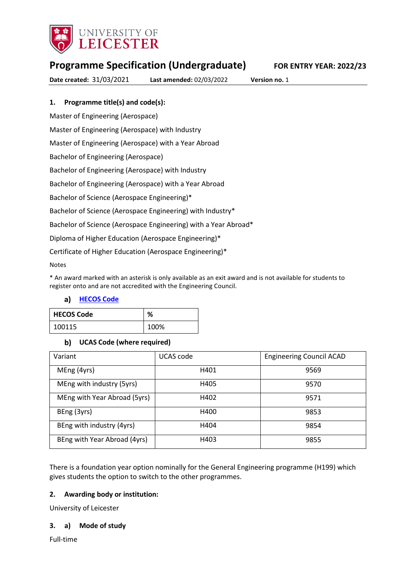

# **Programme Specification (Undergraduate) FOR ENTRY YEAR: 2022/23**

**Date created:** 31/03/2021 **Last amended:** 02/03/2022 **Version no.** 1

## **1. Programme title(s) and code(s):**

Master of Engineering (Aerospace)

Master of Engineering (Aerospace) with Industry

Master of Engineering (Aerospace) with a Year Abroad

Bachelor of Engineering (Aerospace)

Bachelor of Engineering (Aerospace) with Industry

Bachelor of Engineering (Aerospace) with a Year Abroad

Bachelor of Science (Aerospace Engineering)\*

Bachelor of Science (Aerospace Engineering) with Industry\*

Bachelor of Science (Aerospace Engineering) with a Year Abroad\*

Diploma of Higher Education (Aerospace Engineering)\*

Certificate of Higher Education (Aerospace Engineering)\*

Notes

\* An award marked with an asterisk is only available as an exit award and is not available for students to register onto and are not accredited with the Engineering Council.

### **[HECOS Code](https://www.hesa.ac.uk/innovation/hecos)**

| <b>HECOS Code</b> | %    |
|-------------------|------|
| 100115            | 100% |

### **UCAS Code (where required)**

| Variant                      | UCAS code | <b>Engineering Council ACAD</b> |
|------------------------------|-----------|---------------------------------|
| MEng (4yrs)                  | H401      | 9569                            |
| MEng with industry (5yrs)    | H405      | 9570                            |
| MEng with Year Abroad (5yrs) | H402      | 9571                            |
| BEng (3yrs)                  | H400      | 9853                            |
| BEng with industry (4yrs)    | H404      | 9854                            |
| BEng with Year Abroad (4yrs) | H403      | 9855                            |

There is a foundation year option nominally for the General Engineering programme (H199) which gives students the option to switch to the other programmes.

### **2. Awarding body or institution:**

University of Leicester

### **3. a) Mode of study**

Full-time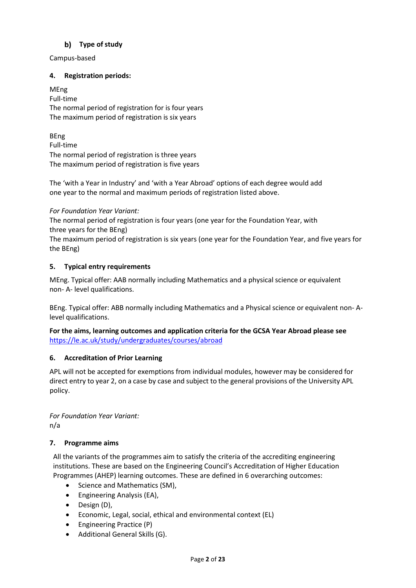## **Type of study**

Campus-based

## **4. Registration periods:**

MEng Full-time The normal period of registration for is four years The maximum period of registration is six years

BEng Full-time The normal period of registration is three years The maximum period of registration is five years

The 'with a Year in Industry' and 'with a Year Abroad' options of each degree would add one year to the normal and maximum periods of registration listed above.

## *For Foundation Year Variant:*

The normal period of registration is four years (one year for the Foundation Year, with three years for the BEng)

The maximum period of registration is six years (one year for the Foundation Year, and five years for the BEng)

## **5. Typical entry requirements**

MEng. Typical offer: AAB normally including Mathematics and a physical science or equivalent non- A- level qualifications.

BEng. Typical offer: ABB normally including Mathematics and a Physical science or equivalent non- Alevel qualifications.

**For the aims, learning outcomes and application criteria for the GCSA Year Abroad please see**  <https://le.ac.uk/study/undergraduates/courses/abroad>

## **6. Accreditation of Prior Learning**

APL will not be accepted for exemptions from individual modules, however may be considered for direct entry to year 2, on a case by case and subject to the general provisions of the University APL policy.

*For Foundation Year Variant:* n/a

## **7. Programme aims**

All the variants of the programmes aim to satisfy the criteria of the accrediting engineering institutions. These are based on the Engineering Council's Accreditation of Higher Education Programmes (AHEP) learning outcomes. These are defined in 6 overarching outcomes:

- Science and Mathematics (SM),
- Engineering Analysis (EA),
- Design (D),
- Economic, Legal, social, ethical and environmental context (EL)
- Engineering Practice (P)
- Additional General Skills (G).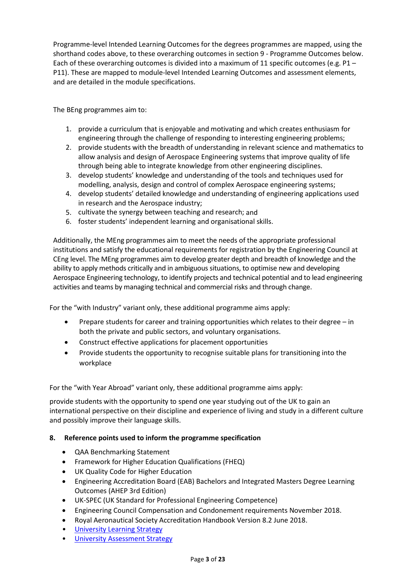Programme-level Intended Learning Outcomes for the degrees programmes are mapped, using the shorthand codes above, to these overarching outcomes in section 9 - Programme Outcomes below. Each of these overarching outcomes is divided into a maximum of 11 specific outcomes (e.g. P1 – P11). These are mapped to module-level Intended Learning Outcomes and assessment elements, and are detailed in the module specifications.

The BEng programmes aim to:

- 1. provide a curriculum that is enjoyable and motivating and which creates enthusiasm for engineering through the challenge of responding to interesting engineering problems;
- 2. provide students with the breadth of understanding in relevant science and mathematics to allow analysis and design of Aerospace Engineering systems that improve quality of life through being able to integrate knowledge from other engineering disciplines.
- 3. develop students' knowledge and understanding of the tools and techniques used for modelling, analysis, design and control of complex Aerospace engineering systems;
- 4. develop students' detailed knowledge and understanding of engineering applications used in research and the Aerospace industry;
- 5. cultivate the synergy between teaching and research; and
- 6. foster students' independent learning and organisational skills.

Additionally, the MEng programmes aim to meet the needs of the appropriate professional institutions and satisfy the educational requirements for registration by the Engineering Council at CEng level. The MEng programmes aim to develop greater depth and breadth of knowledge and the ability to apply methods critically and in ambiguous situations, to optimise new and developing Aerospace Engineering technology, to identify projects and technical potential and to lead engineering activities and teams by managing technical and commercial risks and through change.

For the "with Industry" variant only, these additional programme aims apply:

- Prepare students for career and training opportunities which relates to their degree in both the private and public sectors, and voluntary organisations.
- Construct effective applications for placement opportunities
- Provide students the opportunity to recognise suitable plans for transitioning into the workplace

For the "with Year Abroad" variant only, these additional programme aims apply:

provide students with the opportunity to spend one year studying out of the UK to gain an international perspective on their discipline and experience of living and study in a different culture and possibly improve their language skills.

## **8. Reference points used to inform the programme specification**

- QAA Benchmarking Statement
- Framework for Higher Education Qualifications (FHEQ)
- UK Quality Code for Higher Education
- Engineering Accreditation Board (EAB) Bachelors and Integrated Masters Degree Learning Outcomes (AHEP 3rd Edition)
- UK-SPEC (UK Standard for Professional Engineering Competence)
- Engineering Council Compensation and Condonement requirements November 2018.
- Royal Aeronautical Society Accreditation Handbook Version 8.2 June 2018.
- University Learnin[g Strategy](https://www2.le.ac.uk/offices/sas2/quality/learnteach)
- [University Assessment Strategy](https://www2.le.ac.uk/offices/sas2/quality/learnteach)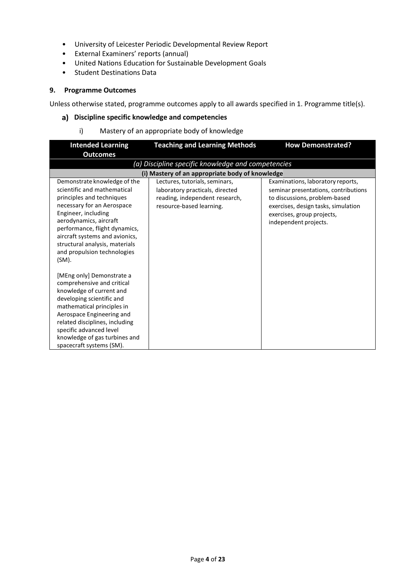- University of Leicester Periodic Developmental Review Report
- External Examiners' reports (annual)
- United Nations Education for Sustainable Development Goals
- Student Destinations Data

### **9. Programme Outcomes**

Unless otherwise stated, programme outcomes apply to all awards specified in 1. Programme title(s).

### **Discipline specific knowledge and competencies**

i) Mastery of an appropriate body of knowledge

| <b>Intended Learning</b>                                                                                                                                                                                                                                                                                                | <b>Teaching and Learning Methods</b>                                                                                            | <b>How Demonstrated?</b>                                                                                                                                                                                 |
|-------------------------------------------------------------------------------------------------------------------------------------------------------------------------------------------------------------------------------------------------------------------------------------------------------------------------|---------------------------------------------------------------------------------------------------------------------------------|----------------------------------------------------------------------------------------------------------------------------------------------------------------------------------------------------------|
| <b>Outcomes</b>                                                                                                                                                                                                                                                                                                         |                                                                                                                                 |                                                                                                                                                                                                          |
|                                                                                                                                                                                                                                                                                                                         | (a) Discipline specific knowledge and competencies                                                                              |                                                                                                                                                                                                          |
|                                                                                                                                                                                                                                                                                                                         | (i) Mastery of an appropriate body of knowledge                                                                                 |                                                                                                                                                                                                          |
| Demonstrate knowledge of the<br>scientific and mathematical<br>principles and techniques<br>necessary for an Aerospace<br>Engineer, including<br>aerodynamics, aircraft<br>performance, flight dynamics,<br>aircraft systems and avionics,<br>structural analysis, materials<br>and propulsion technologies<br>$(SM)$ . | Lectures, tutorials, seminars,<br>laboratory practicals, directed<br>reading, independent research,<br>resource-based learning. | Examinations, laboratory reports,<br>seminar presentations, contributions<br>to discussions, problem-based<br>exercises, design tasks, simulation<br>exercises, group projects,<br>independent projects. |
| [MEng only] Demonstrate a<br>comprehensive and critical<br>knowledge of current and<br>developing scientific and<br>mathematical principles in<br>Aerospace Engineering and<br>related disciplines, including<br>specific advanced level<br>knowledge of gas turbines and<br>spacecraft systems (SM).                   |                                                                                                                                 |                                                                                                                                                                                                          |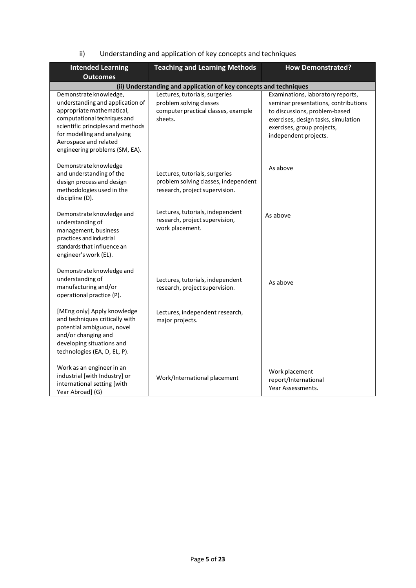| ii) | Understanding and application of key concepts and techniques |  |  |
|-----|--------------------------------------------------------------|--|--|
|     |                                                              |  |  |

| <b>Intended Learning</b><br><b>Outcomes</b>                                                                                                                                                                                                            | <b>Teaching and Learning Methods</b>                                                                        | <b>How Demonstrated?</b>                                                                                                                                                                                 |  |
|--------------------------------------------------------------------------------------------------------------------------------------------------------------------------------------------------------------------------------------------------------|-------------------------------------------------------------------------------------------------------------|----------------------------------------------------------------------------------------------------------------------------------------------------------------------------------------------------------|--|
| (ii) Understanding and application of key concepts and techniques                                                                                                                                                                                      |                                                                                                             |                                                                                                                                                                                                          |  |
| Demonstrate knowledge,<br>understanding and application of<br>appropriate mathematical,<br>computational techniques and<br>scientific principles and methods<br>for modelling and analysing<br>Aerospace and related<br>engineering problems (SM, EA). | Lectures, tutorials, surgeries<br>problem solving classes<br>computer practical classes, example<br>sheets. | Examinations, laboratory reports,<br>seminar presentations, contributions<br>to discussions, problem-based<br>exercises, design tasks, simulation<br>exercises, group projects,<br>independent projects. |  |
| Demonstrate knowledge<br>and understanding of the<br>design process and design<br>methodologies used in the<br>discipline (D).                                                                                                                         | Lectures, tutorials, surgeries<br>problem solving classes, independent<br>research, project supervision.    | As above                                                                                                                                                                                                 |  |
| Demonstrate knowledge and<br>understanding of<br>management, business<br>practices and industrial<br>standards that influence an<br>engineer's work (EL).                                                                                              | Lectures, tutorials, independent<br>research, project supervision,<br>work placement.                       | As above                                                                                                                                                                                                 |  |
| Demonstrate knowledge and<br>understanding of<br>manufacturing and/or<br>operational practice (P).                                                                                                                                                     | Lectures, tutorials, independent<br>research, project supervision.                                          | As above                                                                                                                                                                                                 |  |
| [MEng only] Apply knowledge<br>and techniques critically with<br>potential ambiguous, novel<br>and/or changing and<br>developing situations and<br>technologies (EA, D, EL, P).                                                                        | Lectures, independent research,<br>major projects.                                                          |                                                                                                                                                                                                          |  |
| Work as an engineer in an<br>industrial [with Industry] or<br>international setting [with<br>Year Abroad] (G)                                                                                                                                          | Work/International placement                                                                                | Work placement<br>report/International<br>Year Assessments.                                                                                                                                              |  |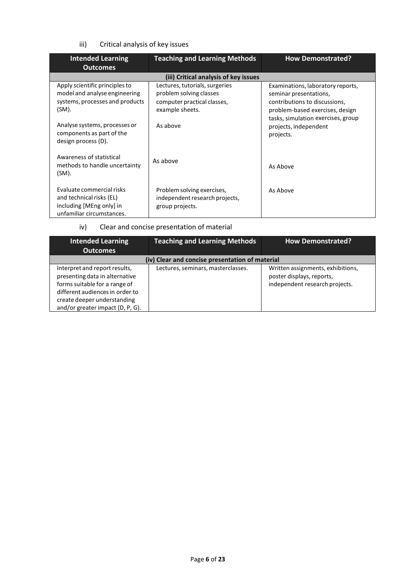iii) Critical analysis of key issues

| <b>Intended Learning</b><br><b>Outcomes</b>                                                                    | <b>Teaching and Learning Methods</b>                                                                        | <b>How Demonstrated?</b>                                                                                                        |
|----------------------------------------------------------------------------------------------------------------|-------------------------------------------------------------------------------------------------------------|---------------------------------------------------------------------------------------------------------------------------------|
|                                                                                                                | (iii) Critical analysis of key issues                                                                       |                                                                                                                                 |
| Apply scientific principles to<br>model and analyse engineering<br>systems, processes and products<br>(SM).    | Lectures, tutorials, surgeries<br>problem solving classes<br>computer practical classes,<br>example sheets. | Examinations, laboratory reports,<br>seminar presentations,<br>contributions to discussions,<br>problem-based exercises, design |
| Analyse systems, processes or<br>components as part of the<br>design process (D).                              | As above                                                                                                    | tasks, simulation exercises, group<br>projects, independent<br>projects.                                                        |
| Awareness of statistical<br>methods to handle uncertainty<br>(SM).                                             | As above                                                                                                    | As Above                                                                                                                        |
| Evaluate commercial risks<br>and technical risks (EL)<br>including [MEng only] in<br>unfamiliar circumstances. | Problem solving exercises,<br>independent research projects,<br>group projects.                             | As Above                                                                                                                        |

iv) Clear and concise presentation of material

| <b>Intended Learning</b><br><b>Outcomes</b>                                                                                                                                                            | <b>Teaching and Learning Methods</b>            | <b>How Demonstrated?</b>                                                                         |
|--------------------------------------------------------------------------------------------------------------------------------------------------------------------------------------------------------|-------------------------------------------------|--------------------------------------------------------------------------------------------------|
|                                                                                                                                                                                                        | (iv) Clear and concise presentation of material |                                                                                                  |
| Interpret and report results,<br>presenting data in alternative<br>forms suitable for a range of<br>different audiences in order to<br>create deeper understanding<br>and/or greater impact (D, P, G). | Lectures, seminars, masterclasses.              | Written assignments, exhibitions,<br>poster displays, reports,<br>independent research projects. |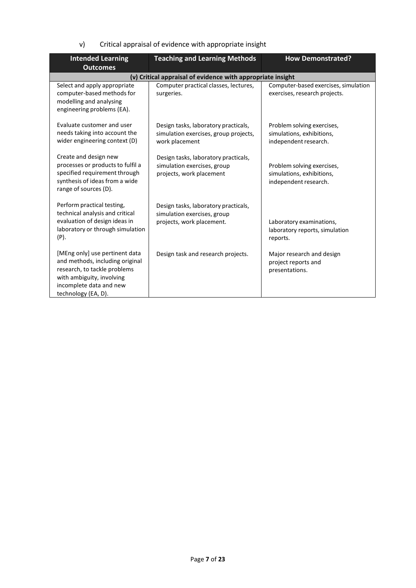v) Critical appraisal of evidence with appropriate insight

| <b>Intended Learning</b>                                                                                                                                                         | <b>Teaching and Learning Methods</b>                                                             | <b>How Demonstrated?</b>                                                         |
|----------------------------------------------------------------------------------------------------------------------------------------------------------------------------------|--------------------------------------------------------------------------------------------------|----------------------------------------------------------------------------------|
| <b>Outcomes</b>                                                                                                                                                                  |                                                                                                  |                                                                                  |
|                                                                                                                                                                                  | (v) Critical appraisal of evidence with appropriate insight                                      |                                                                                  |
| Select and apply appropriate<br>computer-based methods for<br>modelling and analysing<br>engineering problems (EA).                                                              | Computer practical classes, lectures,<br>surgeries.                                              | Computer-based exercises, simulation<br>exercises, research projects.            |
| Evaluate customer and user<br>needs taking into account the<br>wider engineering context (D)                                                                                     | Design tasks, laboratory practicals,<br>simulation exercises, group projects,<br>work placement  | Problem solving exercises,<br>simulations, exhibitions,<br>independent research. |
| Create and design new<br>processes or products to fulfil a<br>specified requirement through<br>synthesis of ideas from a wide<br>range of sources (D).                           | Design tasks, laboratory practicals,<br>simulation exercises, group<br>projects, work placement  | Problem solving exercises,<br>simulations, exhibitions,<br>independent research. |
| Perform practical testing,<br>technical analysis and critical<br>evaluation of design ideas in<br>laboratory or through simulation<br>$(P)$ .                                    | Design tasks, laboratory practicals,<br>simulation exercises, group<br>projects, work placement. | Laboratory examinations,<br>laboratory reports, simulation<br>reports.           |
| [MEng only] use pertinent data<br>and methods, including original<br>research, to tackle problems<br>with ambiguity, involving<br>incomplete data and new<br>technology (EA, D). | Design task and research projects.                                                               | Major research and design<br>project reports and<br>presentations.               |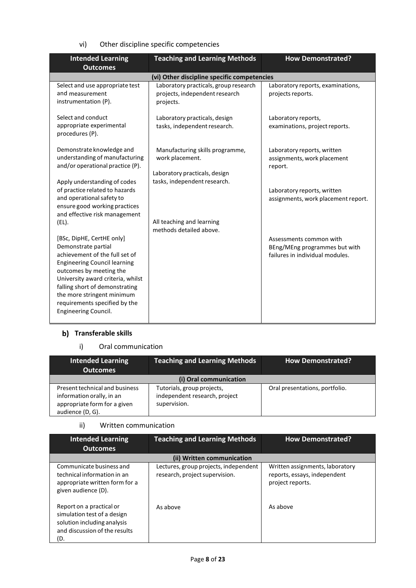vi) Other discipline specific competencies

| <b>Intended Learning</b><br><b>Outcomes</b>                                                                                                                                                                                                                                                                               | <b>Teaching and Learning Methods</b>                                                                                | <b>How Demonstrated?</b>                                                                    |
|---------------------------------------------------------------------------------------------------------------------------------------------------------------------------------------------------------------------------------------------------------------------------------------------------------------------------|---------------------------------------------------------------------------------------------------------------------|---------------------------------------------------------------------------------------------|
|                                                                                                                                                                                                                                                                                                                           | (vi) Other discipline specific competencies                                                                         |                                                                                             |
| Select and use appropriate test<br>and measurement<br>instrumentation (P).                                                                                                                                                                                                                                                | Laboratory practicals, group research<br>projects, independent research<br>projects.                                | Laboratory reports, examinations,<br>projects reports.                                      |
| Select and conduct<br>appropriate experimental<br>procedures (P).                                                                                                                                                                                                                                                         | Laboratory practicals, design<br>tasks, independent research.                                                       | Laboratory reports,<br>examinations, project reports.                                       |
| Demonstrate knowledge and<br>understanding of manufacturing<br>and/or operational practice (P).<br>Apply understanding of codes                                                                                                                                                                                           | Manufacturing skills programme,<br>work placement.<br>Laboratory practicals, design<br>tasks, independent research. | Laboratory reports, written<br>assignments, work placement<br>report.                       |
| of practice related to hazards<br>and operational safety to<br>ensure good working practices<br>and effective risk management                                                                                                                                                                                             |                                                                                                                     | Laboratory reports, written<br>assignments, work placement report.                          |
| (EL).                                                                                                                                                                                                                                                                                                                     | All teaching and learning<br>methods detailed above.                                                                |                                                                                             |
| [BSc, DipHE, CertHE only]<br>Demonstrate partial<br>achievement of the full set of<br><b>Engineering Council learning</b><br>outcomes by meeting the<br>University award criteria, whilst<br>falling short of demonstrating<br>the more stringent minimum<br>requirements specified by the<br><b>Engineering Council.</b> |                                                                                                                     | Assessments common with<br>BEng/MEng programmes but with<br>failures in individual modules. |

## **b)** Transferable skills

### i) Oral communication

| <b>Intended Learning</b><br><b>Outcomes</b>                                                                     | <b>Teaching and Learning Methods</b>                                        | <b>How Demonstrated?</b>       |
|-----------------------------------------------------------------------------------------------------------------|-----------------------------------------------------------------------------|--------------------------------|
|                                                                                                                 | (i) Oral communication                                                      |                                |
| Present technical and business<br>information orally, in an<br>appropriate form for a given<br>audience (D, G). | Tutorials, group projects,<br>independent research, project<br>supervision. | Oral presentations, portfolio. |

## ii) Written communication

| <b>Intended Learning</b><br><b>Outcomes</b>                                                                                    | <b>Teaching and Learning Methods</b>                                    | <b>How Demonstrated?</b>                                                            |
|--------------------------------------------------------------------------------------------------------------------------------|-------------------------------------------------------------------------|-------------------------------------------------------------------------------------|
|                                                                                                                                | (ii) Written communication                                              |                                                                                     |
| Communicate business and<br>technical information in an<br>appropriate written form for a<br>given audience (D).               | Lectures, group projects, independent<br>research, project supervision. | Written assignments, laboratory<br>reports, essays, independent<br>project reports. |
| Report on a practical or<br>simulation test of a design<br>solution including analysis<br>and discussion of the results<br>(D. | As above                                                                | As above                                                                            |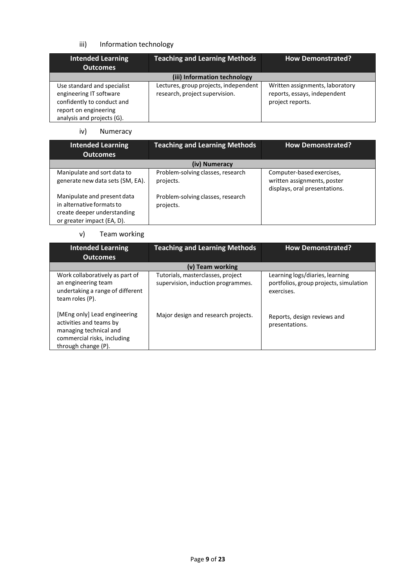## iii) Information technology

| Intended Learning<br><b>Outcomes</b>                                                                                                        | <b>Teaching and Learning Methods</b>                                    | <b>How Demonstrated?</b>                                                            |
|---------------------------------------------------------------------------------------------------------------------------------------------|-------------------------------------------------------------------------|-------------------------------------------------------------------------------------|
|                                                                                                                                             | (iii) Information technology                                            |                                                                                     |
| Use standard and specialist<br>engineering IT software<br>confidently to conduct and<br>report on engineering<br>analysis and projects (G). | Lectures, group projects, independent<br>research, project supervision. | Written assignments, laboratory<br>reports, essays, independent<br>project reports. |

iv) Numeracy

| <b>Intended Learning</b><br><b>Outcomes</b>                                                                           | <b>Teaching and Learning Methods</b>           | <b>How Demonstrated?</b>                                                                  |
|-----------------------------------------------------------------------------------------------------------------------|------------------------------------------------|-------------------------------------------------------------------------------------------|
|                                                                                                                       | (iv) Numeracy                                  |                                                                                           |
| Manipulate and sort data to<br>generate new data sets (SM, EA).                                                       | Problem-solving classes, research<br>projects. | Computer-based exercises,<br>written assignments, poster<br>displays, oral presentations. |
| Manipulate and present data<br>in alternative formats to<br>create deeper understanding<br>or greater impact (EA, D). | Problem-solving classes, research<br>projects. |                                                                                           |

### v) Team working

| <b>Intended Learning</b><br><b>Outcomes</b>                                                                                             | <b>Teaching and Learning Methods</b>                                    | <b>How Demonstrated?</b>                                                                |
|-----------------------------------------------------------------------------------------------------------------------------------------|-------------------------------------------------------------------------|-----------------------------------------------------------------------------------------|
|                                                                                                                                         | (v) Team working                                                        |                                                                                         |
| Work collaboratively as part of<br>an engineering team<br>undertaking a range of different<br>team roles (P).                           | Tutorials, masterclasses, project<br>supervision, induction programmes. | Learning logs/diaries, learning<br>portfolios, group projects, simulation<br>exercises. |
| [MEng only] Lead engineering<br>activities and teams by<br>managing technical and<br>commercial risks, including<br>through change (P). | Major design and research projects.                                     | Reports, design reviews and<br>presentations.                                           |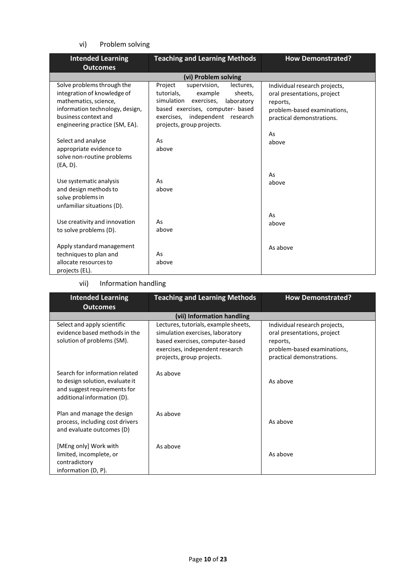## vi) Problem solving

| <b>Intended Learning</b><br><b>Outcomes</b>                                                                                                                                     | <b>Teaching and Learning Methods</b>                                                                                                                                                                                | <b>How Demonstrated?</b>                                                                                                                   |
|---------------------------------------------------------------------------------------------------------------------------------------------------------------------------------|---------------------------------------------------------------------------------------------------------------------------------------------------------------------------------------------------------------------|--------------------------------------------------------------------------------------------------------------------------------------------|
|                                                                                                                                                                                 | (vi) Problem solving                                                                                                                                                                                                |                                                                                                                                            |
| Solve problems through the<br>integration of knowledge of<br>mathematics, science,<br>information technology, design,<br>business context and<br>engineering practice (SM, EA). | Project<br>supervision,<br>lectures,<br>tutorials,<br>example<br>sheets,<br>simulation exercises,<br>laboratory<br>based exercises, computer- based<br>exercises, independent research<br>projects, group projects. | Individual research projects,<br>oral presentations, project<br>reports,<br>problem-based examinations,<br>practical demonstrations.<br>As |
| Select and analyse<br>appropriate evidence to<br>solve non-routine problems<br>(EA, D).                                                                                         | As<br>above                                                                                                                                                                                                         | above<br>As                                                                                                                                |
| Use systematic analysis<br>and design methods to<br>solve problems in<br>unfamiliar situations (D).                                                                             | As<br>above                                                                                                                                                                                                         | above                                                                                                                                      |
| Use creativity and innovation<br>to solve problems (D).                                                                                                                         | As<br>above                                                                                                                                                                                                         | As<br>above                                                                                                                                |
| Apply standard management<br>techniques to plan and<br>allocate resources to<br>projects (EL).                                                                                  | As<br>above                                                                                                                                                                                                         | As above                                                                                                                                   |

## vii) Information handling

| <b>Intended Learning</b><br><b>Outcomes</b>                                                                                      | <b>Teaching and Learning Methods</b>                                                                                                                                        | <b>How Demonstrated?</b>                                                                                                             |
|----------------------------------------------------------------------------------------------------------------------------------|-----------------------------------------------------------------------------------------------------------------------------------------------------------------------------|--------------------------------------------------------------------------------------------------------------------------------------|
|                                                                                                                                  | (vii) Information handling                                                                                                                                                  |                                                                                                                                      |
| Select and apply scientific<br>evidence based methods in the<br>solution of problems (SM).                                       | Lectures, tutorials, example sheets,<br>simulation exercises, laboratory<br>based exercises, computer-based<br>exercises, independent research<br>projects, group projects. | Individual research projects,<br>oral presentations, project<br>reports,<br>problem-based examinations,<br>practical demonstrations. |
| Search for information related<br>to design solution, evaluate it<br>and suggest requirements for<br>additional information (D). | As above                                                                                                                                                                    | As above                                                                                                                             |
| Plan and manage the design<br>process, including cost drivers<br>and evaluate outcomes (D)                                       | As above                                                                                                                                                                    | As above                                                                                                                             |
| [MEng only] Work with<br>limited, incomplete, or<br>contradictory<br>information (D, P).                                         | As above                                                                                                                                                                    | As above                                                                                                                             |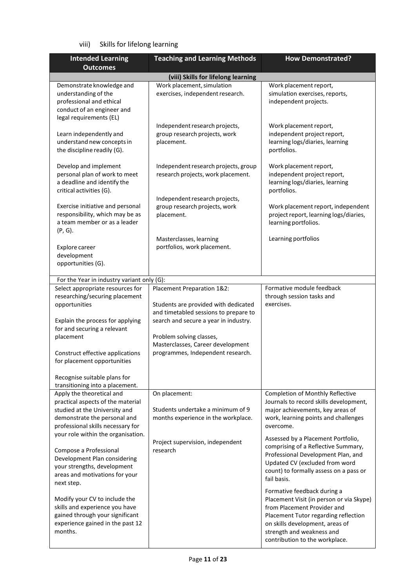## viii) Skills for lifelong learning

| <b>Intended Learning</b>                                                                                                                                                                                                                                                                                                                                                                                                                                                                     | <b>Teaching and Learning Methods</b>                                                                                                                                                                                                                       | <b>How Demonstrated?</b>                                                                                                                                                                                                                                                                                                                                                                                                                                                                                                                   |
|----------------------------------------------------------------------------------------------------------------------------------------------------------------------------------------------------------------------------------------------------------------------------------------------------------------------------------------------------------------------------------------------------------------------------------------------------------------------------------------------|------------------------------------------------------------------------------------------------------------------------------------------------------------------------------------------------------------------------------------------------------------|--------------------------------------------------------------------------------------------------------------------------------------------------------------------------------------------------------------------------------------------------------------------------------------------------------------------------------------------------------------------------------------------------------------------------------------------------------------------------------------------------------------------------------------------|
| <b>Outcomes</b>                                                                                                                                                                                                                                                                                                                                                                                                                                                                              |                                                                                                                                                                                                                                                            |                                                                                                                                                                                                                                                                                                                                                                                                                                                                                                                                            |
| Demonstrate knowledge and<br>understanding of the<br>professional and ethical<br>conduct of an engineer and                                                                                                                                                                                                                                                                                                                                                                                  | (viii) Skills for lifelong learning<br>Work placement, simulation<br>exercises, independent research.                                                                                                                                                      | Work placement report,<br>simulation exercises, reports,<br>independent projects.                                                                                                                                                                                                                                                                                                                                                                                                                                                          |
| legal requirements (EL)<br>Learn independently and<br>understand new concepts in<br>the discipline readily (G).                                                                                                                                                                                                                                                                                                                                                                              | Independent research projects,<br>group research projects, work<br>placement.                                                                                                                                                                              | Work placement report,<br>independent project report,<br>learning logs/diaries, learning<br>portfolios.                                                                                                                                                                                                                                                                                                                                                                                                                                    |
| Develop and implement<br>personal plan of work to meet<br>a deadline and identify the<br>critical activities (G).                                                                                                                                                                                                                                                                                                                                                                            | Independent research projects, group<br>research projects, work placement.<br>Independent research projects,                                                                                                                                               | Work placement report,<br>independent project report,<br>learning logs/diaries, learning<br>portfolios.                                                                                                                                                                                                                                                                                                                                                                                                                                    |
| Exercise initiative and personal<br>responsibility, which may be as<br>a team member or as a leader<br>$(P, G)$ .                                                                                                                                                                                                                                                                                                                                                                            | group research projects, work<br>placement.                                                                                                                                                                                                                | Work placement report, independent<br>project report, learning logs/diaries,<br>learning portfolios.                                                                                                                                                                                                                                                                                                                                                                                                                                       |
| Explore career<br>development<br>opportunities (G).                                                                                                                                                                                                                                                                                                                                                                                                                                          | Masterclasses, learning<br>portfolios, work placement.                                                                                                                                                                                                     | Learning portfolios                                                                                                                                                                                                                                                                                                                                                                                                                                                                                                                        |
| For the Year in industry variant only (G):                                                                                                                                                                                                                                                                                                                                                                                                                                                   |                                                                                                                                                                                                                                                            |                                                                                                                                                                                                                                                                                                                                                                                                                                                                                                                                            |
| Select appropriate resources for<br>researching/securing placement<br>opportunities<br>Explain the process for applying<br>for and securing a relevant<br>placement<br>Construct effective applications<br>for placement opportunities<br>Recognise suitable plans for                                                                                                                                                                                                                       | Placement Preparation 1&2:<br>Students are provided with dedicated<br>and timetabled sessions to prepare to<br>search and secure a year in industry.<br>Problem solving classes,<br>Masterclasses, Career development<br>programmes, Independent research. | Formative module feedback<br>through session tasks and<br>exercises.                                                                                                                                                                                                                                                                                                                                                                                                                                                                       |
| transitioning into a placement.<br>Apply the theoretical and<br>practical aspects of the material<br>studied at the University and<br>demonstrate the personal and<br>professional skills necessary for<br>your role within the organisation.<br>Compose a Professional<br>Development Plan considering<br>your strengths, development<br>areas and motivations for your<br>next step.<br>Modify your CV to include the<br>skills and experience you have<br>gained through your significant | On placement:<br>Students undertake a minimum of 9<br>months experience in the workplace.<br>Project supervision, independent<br>research                                                                                                                  | <b>Completion of Monthly Reflective</b><br>Journals to record skills development,<br>major achievements, key areas of<br>work, learning points and challenges<br>overcome.<br>Assessed by a Placement Portfolio,<br>comprising of a Reflective Summary,<br>Professional Development Plan, and<br>Updated CV (excluded from word<br>count) to formally assess on a pass or<br>fail basis.<br>Formative feedback during a<br>Placement Visit (in person or via Skype)<br>from Placement Provider and<br>Placement Tutor regarding reflection |
| experience gained in the past 12<br>months.                                                                                                                                                                                                                                                                                                                                                                                                                                                  |                                                                                                                                                                                                                                                            | on skills development, areas of<br>strength and weakness and<br>contribution to the workplace.                                                                                                                                                                                                                                                                                                                                                                                                                                             |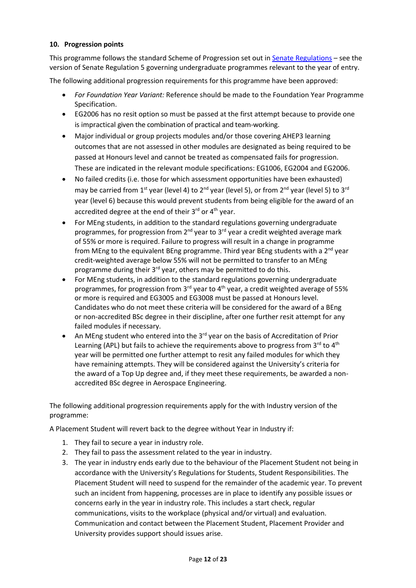### **10. Progression points**

This programme follows the standard Scheme of Progression set out i[n Senate Regulations](http://www.le.ac.uk/senate-regulations) – see the version of Senate Regulation 5 governing undergraduate programmes relevant to the year of entry.

The following additional progression requirements for this programme have been approved:

- *For Foundation Year Variant:* Reference should be made to the Foundation Year Programme Specification.
- EG2006 has no resit option so must be passed at the first attempt because to provide one is impractical given the combination of practical and team-working.
- Major individual or group projects modules and/or those covering AHEP3 learning outcomes that are not assessed in other modules are designated as being required to be passed at Honours level and cannot be treated as compensated fails for progression. These are indicated in the relevant module specifications: EG1006, EG2004 and EG2006.
- No failed credits (i.e. those for which assessment opportunities have been exhausted) may be carried from 1<sup>st</sup> year (level 4) to 2<sup>nd</sup> year (level 5), or from 2<sup>nd</sup> year (level 5) to 3<sup>rd</sup> year (level 6) because this would prevent students from being eligible for the award of an accredited degree at the end of their  $3^{rd}$  or  $4^{th}$  year.
- For MEng students, in addition to the standard regulations governing undergraduate programmes, for progression from  $2^{nd}$  year to  $3^{rd}$  year a credit weighted average mark of 55% or more is required. Failure to progress will result in a change in programme from MEng to the equivalent BEng programme. Third year BEng students with a  $2<sup>nd</sup>$  year credit-weighted average below 55% will not be permitted to transfer to an MEng programme during their 3<sup>rd</sup> year, others may be permitted to do this.
- For MEng students, in addition to the standard regulations governing undergraduate programmes, for progression from  $3^{rd}$  year to  $4^{th}$  year, a credit weighted average of 55% or more is required and EG3005 and EG3008 must be passed at Honours level. Candidates who do not meet these criteria will be considered for the award of a BEng or non-accredited BSc degree in their discipline, after one further resit attempt for any failed modules if necessary.
- An MEng student who entered into the  $3^{rd}$  year on the basis of Accreditation of Prior Learning (APL) but fails to achieve the requirements above to progress from  $3^{rd}$  to  $4^{th}$ year will be permitted one further attempt to resit any failed modules for which they have remaining attempts. They will be considered against the University's criteria for the award of a Top Up degree and, if they meet these requirements, be awarded a nonaccredited BSc degree in Aerospace Engineering.

The following additional progression requirements apply for the with Industry version of the programme:

A Placement Student will revert back to the degree without Year in Industry if:

- 1. They fail to secure a year in industry role.
- 2. They fail to pass the assessment related to the year in industry.
- 3. The year in industry ends early due to the behaviour of the Placement Student not being in accordance with the University's Regulations for Students, Student Responsibilities. The Placement Student will need to suspend for the remainder of the academic year. To prevent such an incident from happening, processes are in place to identify any possible issues or concerns early in the year in industry role. This includes a start check, regular communications, visits to the workplace (physical and/or virtual) and evaluation. Communication and contact between the Placement Student, Placement Provider and University provides support should issues arise.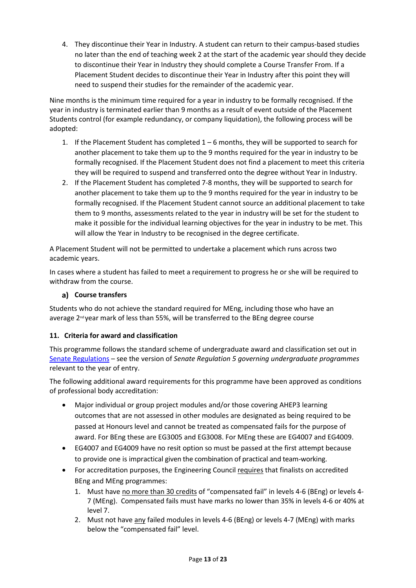4. They discontinue their Year in Industry. A student can return to their campus-based studies no later than the end of teaching week 2 at the start of the academic year should they decide to discontinue their Year in Industry they should complete a Course Transfer From. If a Placement Student decides to discontinue their Year in Industry after this point they will need to suspend their studies for the remainder of the academic year.

Nine months is the minimum time required for a year in industry to be formally recognised. If the year in industry is terminated earlier than 9 months as a result of event outside of the Placement Students control (for example redundancy, or company liquidation), the following process will be adopted:

- 1. If the Placement Student has completed  $1-6$  months, they will be supported to search for another placement to take them up to the 9 months required for the year in industry to be formally recognised. If the Placement Student does not find a placement to meet this criteria they will be required to suspend and transferred onto the degree without Year in Industry.
- 2. If the Placement Student has completed 7-8 months, they will be supported to search for another placement to take them up to the 9 months required for the year in industry to be formally recognised. If the Placement Student cannot source an additional placement to take them to 9 months, assessments related to the year in industry will be set for the student to make it possible for the individual learning objectives for the year in industry to be met. This will allow the Year in Industry to be recognised in the degree certificate.

A Placement Student will not be permitted to undertake a placement which runs across two academic years.

In cases where a student has failed to meet a requirement to progress he or she will be required to withdraw from the course.

## **Course transfers**

Students who do not achieve the standard required for MEng, including those who have an average 2<sup>nd</sup> year mark of less than 55%, will be transferred to the BEng degree course

## **11. Criteria for award and classification**

This programme follows the standard scheme of undergraduate award and classification set out in Senate [Regulations](http://www.le.ac.uk/senate-regulations) – see the version of *Senate Regulation 5 governing undergraduate programmes* relevant to the year of entry.

The following additional award requirements for this programme have been approved as conditions of professional body accreditation:

- Major individual or group project modules and/or those covering AHEP3 learning outcomes that are not assessed in other modules are designated as being required to be passed at Honours level and cannot be treated as compensated fails for the purpose of award. For BEng these are EG3005 and EG3008. For MEng these are EG4007 and EG4009.
- EG4007 and EG4009 have no resit option so must be passed at the first attempt because to provide one is impractical given the combination of practical and team-working.
- For accreditation purposes, the Engineering Council requires that finalists on accredited BEng and MEng programmes:
	- 1. Must have no more than 30 credits of "compensated fail" in levels 4-6 (BEng) or levels 4- 7 (MEng). Compensated fails must have marks no lower than 35% in levels 4-6 or 40% at level 7.
	- 2. Must not have any failed modules in levels 4-6 (BEng) or levels 4-7 (MEng) with marks below the "compensated fail" level.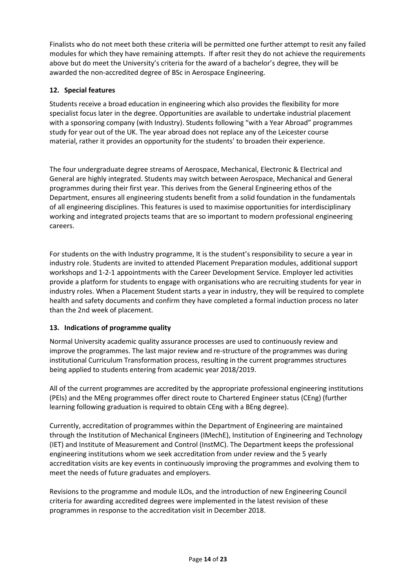Finalists who do not meet both these criteria will be permitted one further attempt to resit any failed modules for which they have remaining attempts. If after resit they do not achieve the requirements above but do meet the University's criteria for the award of a bachelor's degree, they will be awarded the non-accredited degree of BSc in Aerospace Engineering.

## **12. Special features**

Students receive a broad education in engineering which also provides the flexibility for more specialist focus later in the degree. Opportunities are available to undertake industrial placement with a sponsoring company (with Industry). Students following "with a Year Abroad" programmes study for year out of the UK. The year abroad does not replace any of the Leicester course material, rather it provides an opportunity for the students' to broaden their experience.

The four undergraduate degree streams of Aerospace, Mechanical, Electronic & Electrical and General are highly integrated. Students may switch between Aerospace, Mechanical and General programmes during their first year. This derives from the General Engineering ethos of the Department, ensures all engineering students benefit from a solid foundation in the fundamentals of all engineering disciplines. This features is used to maximise opportunities for interdisciplinary working and integrated projects teams that are so important to modern professional engineering careers.

For students on the with Industry programme, It is the student's responsibility to secure a year in industry role. Students are invited to attended Placement Preparation modules, additional support workshops and 1-2-1 appointments with the Career Development Service. Employer led activities provide a platform for students to engage with organisations who are recruiting students for year in industry roles. When a Placement Student starts a year in industry, they will be required to complete health and safety documents and confirm they have completed a formal induction process no later than the 2nd week of placement.

## **13. Indications of programme quality**

Normal University academic quality assurance processes are used to continuously review and improve the programmes. The last major review and re-structure of the programmes was during institutional Curriculum Transformation process, resulting in the current programmes structures being applied to students entering from academic year 2018/2019.

All of the current programmes are accredited by the appropriate professional engineering institutions (PEIs) and the MEng programmes offer direct route to Chartered Engineer status (CEng) (further learning following graduation is required to obtain CEng with a BEng degree).

Currently, accreditation of programmes within the Department of Engineering are maintained through the Institution of Mechanical Engineers (IMechE), Institution of Engineering and Technology (IET) and Institute of Measurement and Control (InstMC). The Department keeps the professional engineering institutions whom we seek accreditation from under review and the 5 yearly accreditation visits are key events in continuously improving the programmes and evolving them to meet the needs of future graduates and employers.

Revisions to the programme and module ILOs, and the introduction of new Engineering Council criteria for awarding accredited degrees were implemented in the latest revision of these programmes in response to the accreditation visit in December 2018.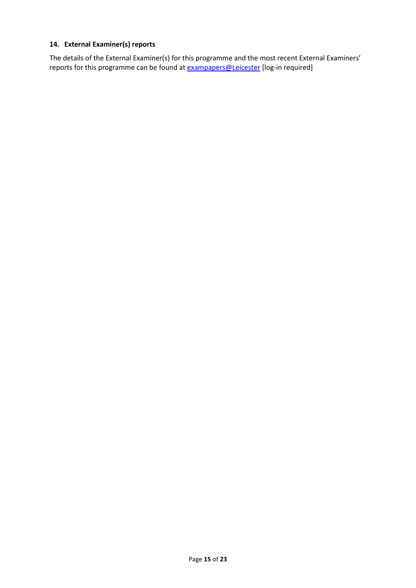## **14. External Examiner(s) reports**

The details of the External Examiner(s) for this programme and the most recent External Examiners' reports for this programme can be found at **[exampapers@Leicester](https://exampapers.le.ac.uk/)** [log-in required]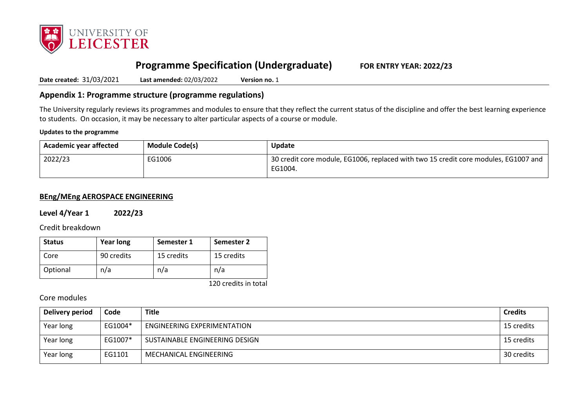

# **Programme Specification (Undergraduate) FOR ENTRY YEAR: 2022/23**

**Date created:** 31/03/2021 **Last amended:** 02/03/2022 **Version no.** 1

## **Appendix 1: Programme structure (programme regulations)**

The University regularly reviews its programmes and modules to ensure that they reflect the current status of the discipline and offer the best learning experience to students. On occasion, it may be necessary to alter particular aspects of a course or module.

### **Updates to the programme**

| <sup>1</sup> Academic year affected | <b>Module Code(s)</b> | Update                                                                                         |
|-------------------------------------|-----------------------|------------------------------------------------------------------------------------------------|
| 2022/23                             | EG1006                | 30 credit core module, EG1006, replaced with two 15 credit core modules, EG1007 and<br>EG1004. |

### **BEng/MEng AEROSPACE ENGINEERING**

**Level 4/Year 1 2022/23**

Credit breakdown

| <b>Status</b> | <b>Year long</b> | Semester 1 | Semester 2 |
|---------------|------------------|------------|------------|
| Core          | 90 credits       | 15 credits | 15 credits |
| Optional      | n/a              | n/a        | n/a        |

120 credits in total

### Core modules

| Delivery period | Code    | <b>Title</b>                       | <b>Credits</b> |
|-----------------|---------|------------------------------------|----------------|
| Year long       | EG1004* | <b>ENGINEERING EXPERIMENTATION</b> | 15 credits     |
| Year long       | EG1007* | SUSTAINABLE ENGINEERING DESIGN     | 15 credits     |
| Year long       | EG1101  | MECHANICAL ENGINEERING             | 30 credits     |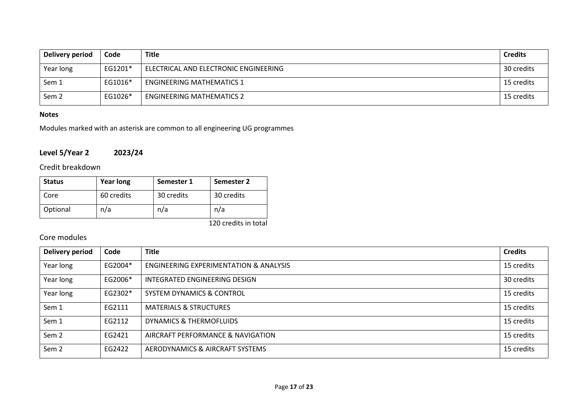| Delivery period  | Code    | <b>Title</b>                          | <b>Credits</b> |
|------------------|---------|---------------------------------------|----------------|
| Year long        | EG1201* | ELECTRICAL AND ELECTRONIC ENGINEERING | 30 credits     |
| Sem 1            | EG1016* | <b>ENGINEERING MATHEMATICS 1</b>      | 15 credits     |
| Sem <sub>2</sub> | EG1026* | <b>ENGINEERING MATHEMATICS 2</b>      | 15 credits     |

### **Notes**

Modules marked with an asterisk are common to all engineering UG programmes

## **Level 5/Year 2 2023/24**

Credit breakdown

| <b>Status</b> | <b>Year long</b> | Semester 1 | Semester 2 |
|---------------|------------------|------------|------------|
| Core          | 60 credits       | 30 credits | 30 credits |
| Optional      | n/a              | n/a        | n/a        |

120 credits in total

## Core modules

| <b>Delivery period</b> | Code    | <b>Title</b>                                      | <b>Credits</b> |
|------------------------|---------|---------------------------------------------------|----------------|
| Year long              | EG2004* | <b>ENGINEERING EXPERIMENTATION &amp; ANALYSIS</b> | 15 credits     |
| Year long              | EG2006* | INTEGRATED ENGINEERING DESIGN                     | 30 credits     |
| Year long              | EG2302* | <b>SYSTEM DYNAMICS &amp; CONTROL</b>              | 15 credits     |
| Sem 1                  | EG2111  | <b>MATERIALS &amp; STRUCTURES</b>                 | 15 credits     |
| Sem 1                  | FG2112  | DYNAMICS & THERMOFLUIDS                           | 15 credits     |
| Sem <sub>2</sub>       | EG2421  | AIRCRAFT PERFORMANCE & NAVIGATION                 | 15 credits     |
| Sem <sub>2</sub>       | EG2422  | AERODYNAMICS & AIRCRAFT SYSTEMS                   | 15 credits     |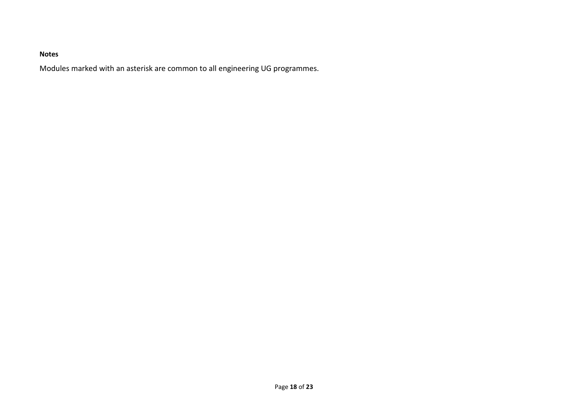## **Notes**

Modules marked with an asterisk are common to all engineering UG programmes.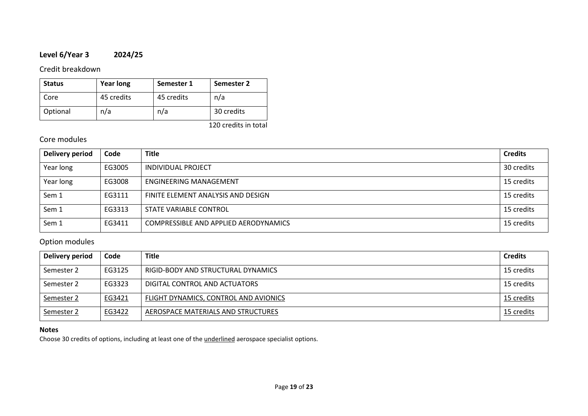## **Level 6/Year 3 2024/25**

## Credit breakdown

| <b>Status</b> | <b>Year long</b> | Semester 1 | Semester 2 |
|---------------|------------------|------------|------------|
| Core          | 45 credits       | 45 credits | n/a        |
| Optional      | n/a              | n/a        | 30 credits |

120 credits in total

## Core modules

| Delivery period | Code   | <b>Title</b>                          | <b>Credits</b> |
|-----------------|--------|---------------------------------------|----------------|
| Year long       | EG3005 | INDIVIDUAL PROJECT                    | 30 credits     |
| Year long       | EG3008 | ENGINEERING MANAGEMENT                | 15 credits     |
| Sem 1           | EG3111 | FINITE ELEMENT ANALYSIS AND DESIGN    | 15 credits     |
| Sem 1           | EG3313 | STATE VARIABLE CONTROL                | 15 credits     |
| Sem 1           | EG3411 | COMPRESSIBLE AND APPLIED AERODYNAMICS | 15 credits     |

## Option modules

| Delivery period | Code   | <b>Title</b>                          | <b>Credits</b> |
|-----------------|--------|---------------------------------------|----------------|
| Semester 2      | EG3125 | RIGID-BODY AND STRUCTURAL DYNAMICS    | 15 credits     |
| Semester 2      | EG3323 | DIGITAL CONTROL AND ACTUATORS         | 15 credits     |
| Semester 2      | EG3421 | FLIGHT DYNAMICS, CONTROL AND AVIONICS | 15 credits     |
| Semester 2      | EG3422 | AEROSPACE MATERIALS AND STRUCTURES    | 15 credits     |

## **Notes**

Choose 30 credits of options, including at least one of the underlined aerospace specialist options.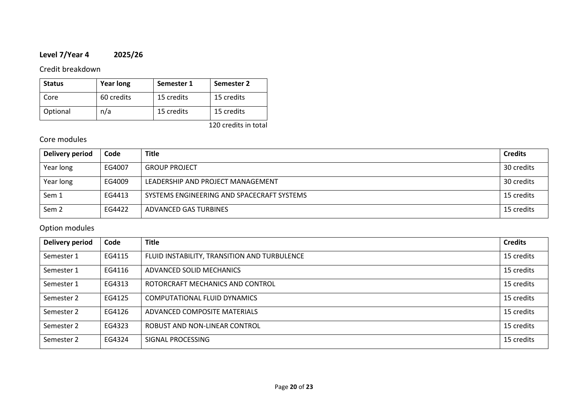## **Level 7/Year 4 2025/26**

## Credit breakdown

| <b>Status</b> | <b>Year long</b> | Semester 1 | Semester 2 |
|---------------|------------------|------------|------------|
| Core          | 60 credits       | 15 credits | 15 credits |
| Optional      | n/a              | 15 credits | 15 credits |

120 credits in total

## Core modules

| Delivery period  | Code   | <b>Title</b>                               | <b>Credits</b> |
|------------------|--------|--------------------------------------------|----------------|
| Year long        | EG4007 | <b>GROUP PROJECT</b>                       | 30 credits     |
| Year long        | EG4009 | LEADERSHIP AND PROJECT MANAGEMENT          | 30 credits     |
| Sem 1            | EG4413 | SYSTEMS ENGINEERING AND SPACECRAFT SYSTEMS | 15 credits     |
| Sem <sub>2</sub> | EG4422 | ADVANCED GAS TURBINES                      | 15 credits     |

# Option modules

| <b>Delivery period</b> | Code   | <b>Title</b>                                 | <b>Credits</b> |
|------------------------|--------|----------------------------------------------|----------------|
| Semester 1             | EG4115 | FLUID INSTABILITY, TRANSITION AND TURBULENCE | 15 credits     |
| Semester 1             | EG4116 | ADVANCED SOLID MECHANICS                     | 15 credits     |
| Semester 1             | EG4313 | ROTORCRAFT MECHANICS AND CONTROL             | 15 credits     |
| Semester 2             | EG4125 | COMPUTATIONAL FLUID DYNAMICS                 | 15 credits     |
| Semester 2             | EG4126 | ADVANCED COMPOSITE MATERIALS                 | 15 credits     |
| Semester 2             | EG4323 | ROBUST AND NON-LINEAR CONTROL                | 15 credits     |
| Semester 2             | EG4324 | SIGNAL PROCESSING                            | 15 credits     |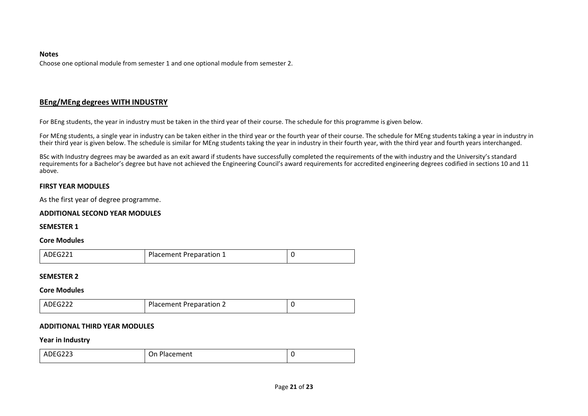#### **Notes**

Choose one optional module from semester 1 and one optional module from semester 2.

### **BEng/MEng degrees WITH INDUSTRY**

For BEng students, the year in industry must be taken in the third year of their course. The schedule for this programme is given below.

For MEng students, a single year in industry can be taken either in the third year or the fourth year of their course. The schedule for MEng students taking a year in industry in their third year is given below. The schedule is similar for MEng students taking the year in industry in their fourth year, with the third year and fourth years interchanged.

BSc with Industry degrees may be awarded as an exit award if students have successfully completed the requirements of the with industry and the University's standard requirements for a Bachelor's degree but have not achieved the Engineering Council's award requirements for accredited engineering degrees codified in sections 10 and 11 above.

### **FIRST YEAR MODULES**

As the first year of degree programme.

### **ADDITIONAL SECOND YEAR MODULES**

### **SEMESTER 1**

### **Core Modules**

| ADEG221<br>Placement Preparation 1 |  |
|------------------------------------|--|
|------------------------------------|--|

### **SEMESTER 2**

### **Core Modules**

| ADEG22 <sup>~</sup> | <b>Placement Preparation 2</b> |  |
|---------------------|--------------------------------|--|
|---------------------|--------------------------------|--|

### **ADDITIONAL THIRD YEAR MODULES**

#### **Year in Industry**

| ADFG222<br>-22<br>______ | Diacomont<br>)n<br>hacement |  |
|--------------------------|-----------------------------|--|
|                          |                             |  |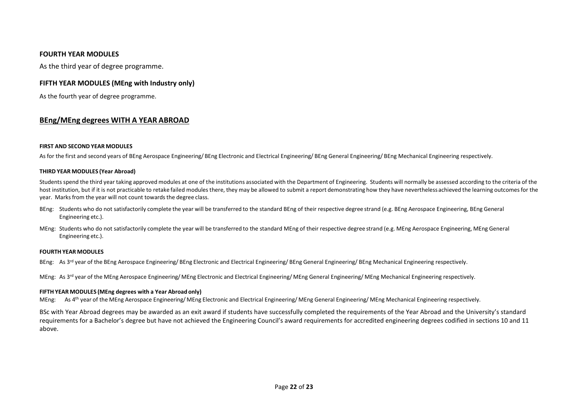### **FOURTH YEAR MODULES**

As the third year of degree programme.

### **FIFTH YEAR MODULES (MEng with Industry only)**

As the fourth year of degree programme.

### **BEng/MEng degrees WITH A YEAR ABROAD**

#### **FIRST AND SECOND YEAR MODULES**

As for the first and second years of BEng Aerospace Engineering/ BEng Electronic and Electrical Engineering/ BEng General Engineering/ BEng Mechanical Engineering respectively.

#### **THIRD YEAR MODULES (Year Abroad)**

Students spend the third year taking approved modules at one of the institutions associated with the Department of Engineering. Students will normally be assessed according to the criteria of the host institution, but if it is not practicable to retake failed modules there, they may be allowed to submit a report demonstrating how they have nevertheless achieved the learning outcomes for the year. Marks from the year will not count towards the degree class.

- BEng: Students who do not satisfactorily complete the year will be transferred to the standard BEng of their respective degree strand (e.g. BEng Aerospace Engineering, BEng General Engineering etc.).
- MEng: Students who do not satisfactorily complete the year will be transferred to the standard MEng of their respective degree strand (e.g. MEng Aerospace Engineering, MEng General Engineering etc.).

#### **FOURTHYEAR MODULES**

BEng: As 3<sup>rd</sup> year of the BEng Aerospace Engineering/ BEng Electronic and Electrical Engineering/ BEng General Engineering/ BEng Mechanical Engineering respectively.

MEng: As 3<sup>rd</sup> year of the MEng Aerospace Engineering/ MEng Electronic and Electrical Engineering/ MEng General Engineering/ MEng Mechanical Engineering respectively.

#### **FIFTH YEAR MODULES (MEng degrees with a Year Abroad only)**

MEng: As 4<sup>th</sup> year of the MEng Aerospace Engineering/ MEng Electronic and Electrical Engineering/ MEng General Engineering/ MEng Mechanical Engineering respectively.

BSc with Year Abroad degrees may be awarded as an exit award if students have successfully completed the requirements of the Year Abroad and the University's standard requirements for a Bachelor's degree but have not achieved the Engineering Council's award requirements for accredited engineering degrees codified in sections 10 and 11 above.